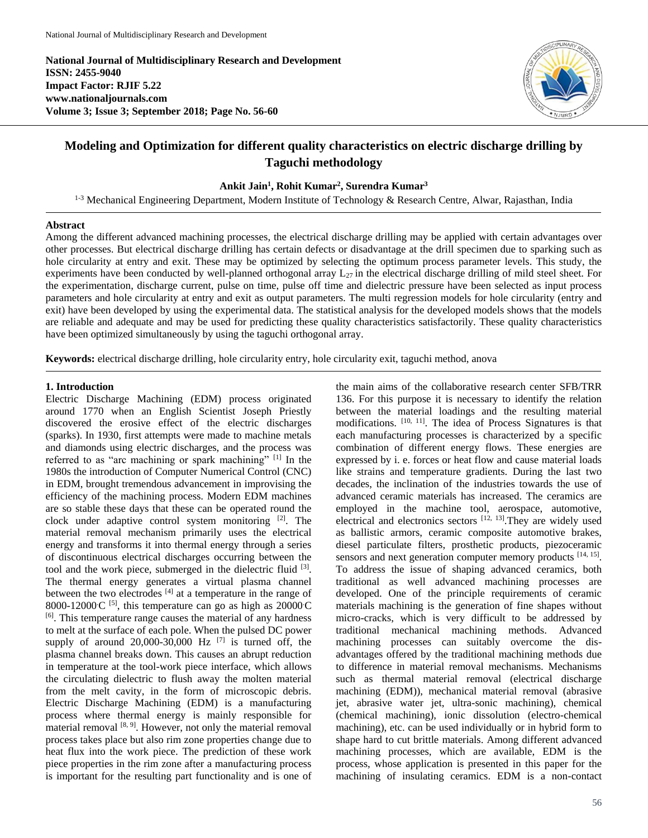**National Journal of Multidisciplinary Research and Development ISSN: 2455-9040 Impact Factor: RJIF 5.22 www.nationaljournals.com Volume 3; Issue 3; September 2018; Page No. 56-60**



# **Modeling and Optimization for different quality characteristics on electric discharge drilling by Taguchi methodology**

### **Ankit Jain<sup>1</sup> , Rohit Kumar<sup>2</sup> , Surendra Kumar<sup>3</sup>**

<sup>1-3</sup> Mechanical Engineering Department, Modern Institute of Technology & Research Centre, Alwar, Rajasthan, India

#### **Abstract**

Among the different advanced machining processes, the electrical discharge drilling may be applied with certain advantages over other processes. But electrical discharge drilling has certain defects or disadvantage at the drill specimen due to sparking such as hole circularity at entry and exit. These may be optimized by selecting the optimum process parameter levels. This study, the experiments have been conducted by well-planned orthogonal array  $L_{27}$  in the electrical discharge drilling of mild steel sheet. For the experimentation, discharge current, pulse on time, pulse off time and dielectric pressure have been selected as input process parameters and hole circularity at entry and exit as output parameters. The multi regression models for hole circularity (entry and exit) have been developed by using the experimental data. The statistical analysis for the developed models shows that the models are reliable and adequate and may be used for predicting these quality characteristics satisfactorily. These quality characteristics have been optimized simultaneously by using the taguchi orthogonal array.

**Keywords:** electrical discharge drilling, hole circularity entry, hole circularity exit, taguchi method, anova

#### **1. Introduction**

Electric Discharge Machining (EDM) process originated around 1770 when an English Scientist Joseph Priestly discovered the erosive effect of the electric discharges (sparks). In 1930, first attempts were made to machine metals and diamonds using electric discharges, and the process was referred to as "arc machining or spark machining" [1] In the 1980s the introduction of Computer Numerical Control (CNC) in EDM, brought tremendous advancement in improvising the efficiency of the machining process. Modern EDM machines are so stable these days that these can be operated round the clock under adaptive control system monitoring [2] . The material removal mechanism primarily uses the electrical energy and transforms it into thermal energy through a series of discontinuous electrical discharges occurring between the tool and the work piece, submerged in the dielectric fluid <sup>[3]</sup>. The thermal energy generates a virtual plasma channel between the two electrodes [4] at a temperature in the range of 8000-12000 $C$ <sup>[5]</sup>, this temperature can go as high as 20000 $C$ [6]. This temperature range causes the material of any hardness to melt at the surface of each pole. When the pulsed DC power supply of around  $20,000-30,000$  Hz  $^{[7]}$  is turned off, the plasma channel breaks down. This causes an abrupt reduction in temperature at the tool-work piece interface, which allows the circulating dielectric to flush away the molten material from the melt cavity, in the form of microscopic debris. Electric Discharge Machining (EDM) is a manufacturing process where thermal energy is mainly responsible for material removal [8, 9]. However, not only the material removal process takes place but also rim zone properties change due to heat flux into the work piece. The prediction of these work piece properties in the rim zone after a manufacturing process is important for the resulting part functionality and is one of

the main aims of the collaborative research center SFB/TRR 136. For this purpose it is necessary to identify the relation between the material loadings and the resulting material modifications. [10, 11]. The idea of Process Signatures is that each manufacturing processes is characterized by a specific combination of different energy flows. These energies are expressed by i. e. forces or heat flow and cause material loads like strains and temperature gradients. During the last two decades, the inclination of the industries towards the use of advanced ceramic materials has increased. The ceramics are employed in the machine tool, aerospace, automotive, electrical and electronics sectors [12, 13]. They are widely used as ballistic armors, ceramic composite automotive brakes, diesel particulate filters, prosthetic products, piezoceramic sensors and next generation computer memory products [14, 15]. To address the issue of shaping advanced ceramics, both traditional as well advanced machining processes are developed. One of the principle requirements of ceramic materials machining is the generation of fine shapes without micro-cracks, which is very difficult to be addressed by traditional mechanical machining methods. Advanced machining processes can suitably overcome the disadvantages offered by the traditional machining methods due to difference in material removal mechanisms. Mechanisms such as thermal material removal (electrical discharge machining (EDM)), mechanical material removal (abrasive jet, abrasive water jet, ultra-sonic machining), chemical (chemical machining), ionic dissolution (electro-chemical machining), etc. can be used individually or in hybrid form to shape hard to cut brittle materials. Among different advanced machining processes, which are available, EDM is the process, whose application is presented in this paper for the machining of insulating ceramics. EDM is a non-contact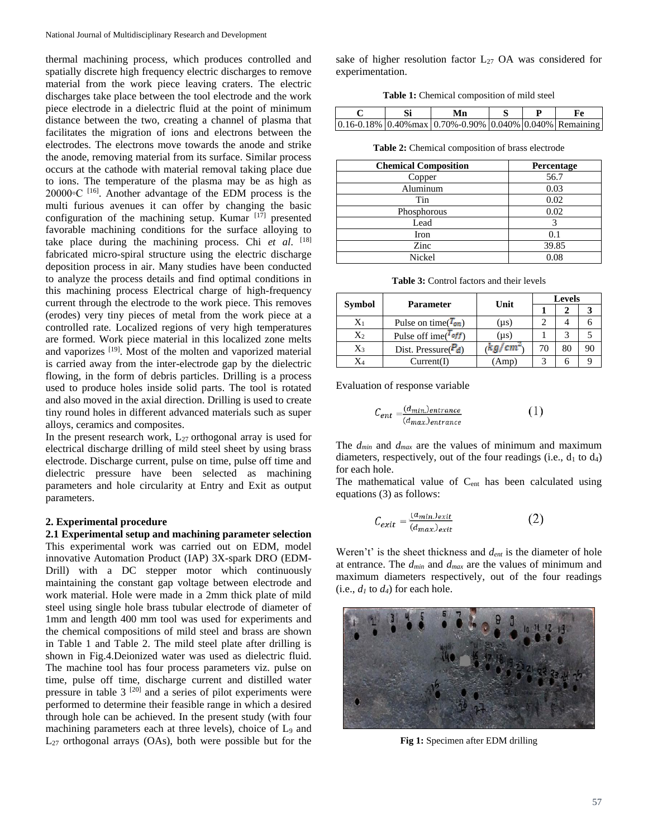thermal machining process, which produces controlled and spatially discrete high frequency electric discharges to remove material from the work piece leaving craters. The electric discharges take place between the tool electrode and the work piece electrode in a dielectric fluid at the point of minimum distance between the two, creating a channel of plasma that facilitates the migration of ions and electrons between the electrodes. The electrons move towards the anode and strike the anode, removing material from its surface. Similar process occurs at the cathode with material removal taking place due to ions. The temperature of the plasma may be as high as 20000◦C [16]. Another advantage of the EDM process is the multi furious avenues it can offer by changing the basic configuration of the machining setup. Kumar  $[17]$  presented favorable machining conditions for the surface alloying to take place during the machining process. Chi *et al*. [18] fabricated micro-spiral structure using the electric discharge deposition process in air. Many studies have been conducted to analyze the process details and find optimal conditions in this machining process Electrical charge of high-frequency current through the electrode to the work piece. This removes (erodes) very tiny pieces of metal from the work piece at a controlled rate. Localized regions of very high temperatures are formed. Work piece material in this localized zone melts and vaporizes [19]. Most of the molten and vaporized material is carried away from the inter-electrode gap by the dielectric flowing, in the form of debris particles. Drilling is a process used to produce holes inside solid parts. The tool is rotated and also moved in the axial direction. Drilling is used to create tiny round holes in different advanced materials such as super alloys, ceramics and composites.

In the present research work,  $L_{27}$  orthogonal array is used for electrical discharge drilling of mild steel sheet by using brass electrode. Discharge current, pulse on time, pulse off time and dielectric pressure have been selected as machining parameters and hole circularity at Entry and Exit as output parameters.

#### **2. Experimental procedure**

**2.1 Experimental setup and machining parameter selection** This experimental work was carried out on EDM, model innovative Automation Product (IAP) 3X-spark DRO (EDM-Drill) with a DC stepper motor which continuously maintaining the constant gap voltage between electrode and work material. Hole were made in a 2mm thick plate of mild steel using single hole brass tubular electrode of diameter of 1mm and length 400 mm tool was used for experiments and the chemical compositions of mild steel and brass are shown in Table 1 and Table 2. The mild steel plate after drilling is shown in Fig.4.Deionized water was used as dielectric fluid. The machine tool has four process parameters viz. pulse on time, pulse off time, discharge current and distilled water pressure in table  $3^{[20]}$  and a series of pilot experiments were performed to determine their feasible range in which a desired through hole can be achieved. In the present study (with four machining parameters each at three levels), choice of L<sub>9</sub> and  $L_{27}$  orthogonal arrays (OAs), both were possible but for the

sake of higher resolution factor  $L_{27}$  OA was considered for experimentation.

**Table 1:** Chemical composition of mild steel

|  | Мn                                                                        |  |  |
|--|---------------------------------------------------------------------------|--|--|
|  | $(0.16-0.18\%)$ 0.40% max $(0.70\% -0.90\%)$ 0.040% $(0.040\%)$ Remaining |  |  |

**Table 2:** Chemical composition of brass electrode

| <b>Chemical Composition</b> | Percentage |
|-----------------------------|------------|
| Copper                      | 56.7       |
| Aluminum                    | 0.03       |
| Tin                         | 0.02       |
| Phosphorous                 | 0.02       |
| Lead                        |            |
| Iron                        | 0.1        |
| Zinc                        | 39.85      |
| Nickel                      | 0.08       |

**Table 3:** Control factors and their levels

|               |                               | Unit      | <b>Levels</b> |    |  |
|---------------|-------------------------------|-----------|---------------|----|--|
| <b>Symbol</b> | <b>Parameter</b>              |           |               |    |  |
| X1            | Pulse on time( $T_{on}$ )     | $(\mu s)$ |               |    |  |
| X2            | Pulse off ime( $^{T_{off}}$ ) | $(\mu s)$ |               |    |  |
| X3            | Dist. Pressure( $P_d$ )       |           | 70            | 80 |  |
| X4            | Current(I)                    | Amp       |               |    |  |

Evaluation of response variable

$$
C_{ent} = \frac{(d_{min})_{entrance}}{(d_{max})_{entrance}} \tag{1}
$$

The *dmin* and *dmax* are the values of minimum and maximum diameters, respectively, out of the four readings (i.e.,  $d_1$  to  $d_4$ ) for each hole.

The mathematical value of C<sub>ent</sub> has been calculated using equations (3) as follows:

$$
C_{exit} = \frac{(a_{min})_{exit}}{(d_{max})_{exit}} \tag{2}
$$

Weren't' is the sheet thickness and  $d_{ent}$  is the diameter of hole at entrance. The *dmin* and *dmax* are the values of minimum and maximum diameters respectively, out of the four readings (i.e.,  $d_1$  to  $d_4$ ) for each hole.



**Fig 1:** Specimen after EDM drilling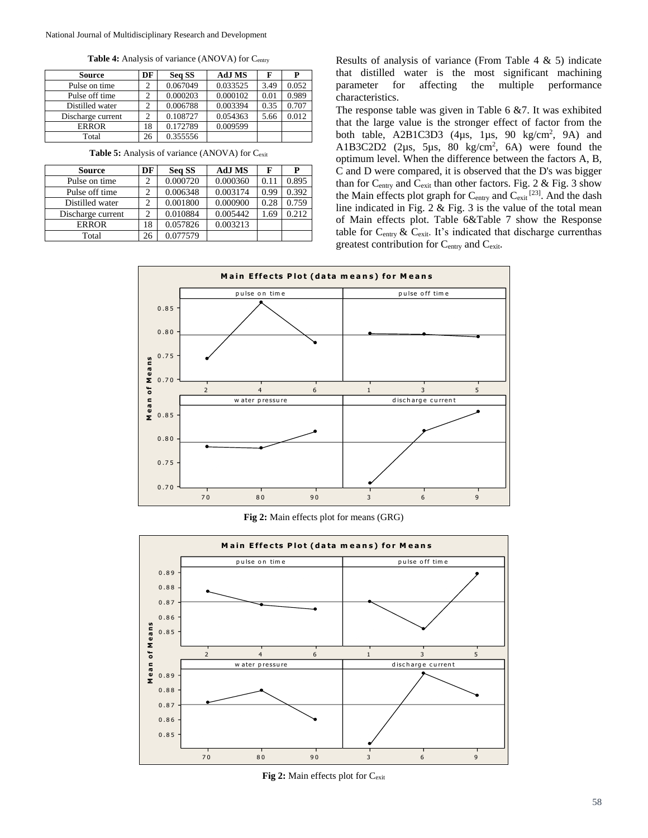Table 4: Analysis of variance (ANOVA) for Centry

| <b>Source</b>     | DF | Seq SS   | <b>AdJ MS</b> | F    |       |
|-------------------|----|----------|---------------|------|-------|
| Pulse on time     |    | 0.067049 | 0.033525      | 3.49 | 0.052 |
| Pulse off time    |    | 0.000203 | 0.000102      | 0.01 | 0.989 |
| Distilled water   | 2  | 0.006788 | 0.003394      | 0.35 | 0.707 |
| Discharge current | 2  | 0.108727 | 0.054363      | 5.66 | 0.012 |
| <b>ERROR</b>      | 18 | 0.172789 | 0.009599      |      |       |
| Total             | 26 | 0.355556 |               |      |       |

**Table 5:** Analysis of variance (ANOVA) for Cexit

| <b>Source</b>     | DF | Seq SS   | <b>AdJ MS</b> | F    | Р     |
|-------------------|----|----------|---------------|------|-------|
| Pulse on time     | 2  | 0.000720 | 0.000360      | 0.11 | 0.895 |
| Pulse off time    | 2  | 0.006348 | 0.003174      | 0.99 | 0.392 |
| Distilled water   | 2  | 0.001800 | 0.000900      | 0.28 | 0.759 |
| Discharge current | 2  | 0.010884 | 0.005442      | 1.69 | 0.212 |
| <b>ERROR</b>      | 18 | 0.057826 | 0.003213      |      |       |
| Total             | 26 | 0.077579 |               |      |       |

Results of analysis of variance (From Table 4 & 5) indicate that distilled water is the most significant machining parameter for affecting the multiple performance characteristics.

The response table was given in Table 6 &7. It was exhibited that the large value is the stronger effect of factor from the both table,  $A2B1C3D3$  (4 $\mu s$ , 1 $\mu s$ , 90 kg/cm<sup>2</sup>, 9A) and A1B3C2D2  $(2\mu s, 5\mu s, 80 \text{ kg/cm}^2, 6\text{A})$  were found the optimum level. When the difference between the factors A, B, C and D were compared, it is observed that the D's was bigger than for  $C_{\text{entry}}$  and  $C_{\text{exit}}$  than other factors. Fig. 2 & Fig. 3 show the Main effects plot graph for  $C_{\text{entry}}$  and  $C_{\text{exit}}^{[23]}$ . And the dash line indicated in Fig. 2 & Fig. 3 is the value of the total mean of Main effects plot. Table 6&Table 7 show the Response table for  $C_{\text{entry}}$  &  $C_{\text{exit}}$ . It's indicated that discharge currenthas greatest contribution for C<sub>entry</sub> and C<sub>exit</sub>.



**Fig 2:** Main effects plot for means (GRG)



**Fig 2:** Main effects plot for Cexit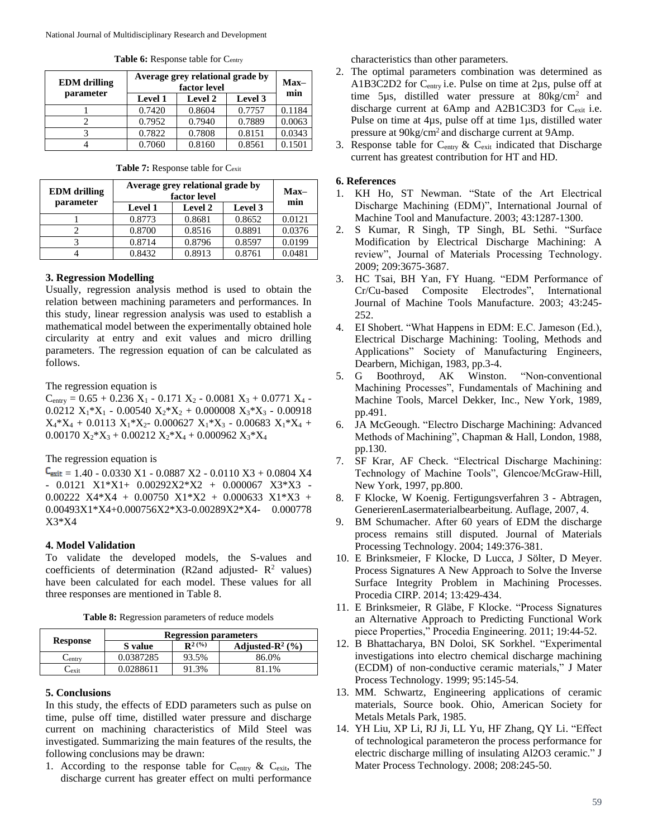| <b>EDM</b> drilling | Average grey relational grade by | $Max-$<br>min  |         |        |
|---------------------|----------------------------------|----------------|---------|--------|
| parameter           | <b>Level 1</b>                   | <b>Level 2</b> | Level 3 |        |
|                     | 0.7420                           | 0.8604         | 0.7757  | 0.1184 |
|                     | 0.7952                           | 0.7940         | 0.7889  | 0.0063 |
|                     | 0.7822                           | 0.7808         | 0.8151  | 0.0343 |
|                     | 0.7060                           | 0.8160         | 0.8561  | 0.1501 |

Table 6: Response table for C<sub>entry</sub>

Table 7: Response table for C<sub>exit</sub>

| <b>EDM</b> drilling | Average grey relational grade by<br>factor level | $Max-$<br>min  |         |        |
|---------------------|--------------------------------------------------|----------------|---------|--------|
| parameter           | <b>Level 1</b>                                   | <b>Level 2</b> | Level 3 |        |
|                     | 0.8773                                           | 0.8681         | 0.8652  | 0.0121 |
|                     | 0.8700                                           | 0.8516         | 0.8891  | 0.0376 |
|                     | 0.8714                                           | 0.8796         | 0.8597  | 0.0199 |
|                     | 0.8432                                           | 0.8913         | 0.8761  | 0.0481 |

# **3. Regression Modelling**

Usually, regression analysis method is used to obtain the relation between machining parameters and performances. In this study, linear regression analysis was used to establish a mathematical model between the experimentally obtained hole circularity at entry and exit values and micro drilling parameters. The regression equation of can be calculated as follows.

The regression equation is

 $C_{\text{entry}} = 0.65 + 0.236 \text{ X}_1 - 0.171 \text{ X}_2 - 0.0081 \text{ X}_3 + 0.0771 \text{ X}_4 -$ 0.0212  $X_1 * X_1 - 0.00540 X_2 * X_2 + 0.000008 X_3 * X_3 - 0.00918$  $X_4 * X_4 + 0.0113 X_1 * X_2 - 0.000627 X_1 * X_3 - 0.00683 X_1 * X_4 +$  $0.00170 X_2^*X_3 + 0.00212 X_2^*X_4 + 0.000962 X_3^*X_4$ 

# The regression equation is

 $C_{\text{exit}} = 1.40 - 0.0330 \text{ X1} - 0.0887 \text{ X2} - 0.0110 \text{ X3} + 0.0804 \text{ X4}$ - 0.0121 X1\*X1+ 0.00292X2\*X2 + 0.000067 X3\*X3 - 0.00222 X4\*X4 + 0.00750 X1\*X2 + 0.000633 X1\*X3 + 0.00493X1\*X4+0.000756X2\*X3-0.00289X2\*X4- 0.000778 X3\*X4

# **4. Model Validation**

To validate the developed models, the S-values and coefficients of determination (R2and adjusted- $R^2$  values) have been calculated for each model. These values for all three responses are mentioned in Table 8.

**Table 8:** Regression parameters of reduce models

|                 | <b>Regression parameters</b> |             |                              |  |  |
|-----------------|------------------------------|-------------|------------------------------|--|--|
| <b>Response</b> | S value                      | $R^{2}$ (%) | Adjusted- $\mathbb{R}^2$ (%) |  |  |
| Centrv          | 0.0387285                    | 93.5%       | 86.0%                        |  |  |
| – exit          | 0.0288611                    | 91.3%       | 81.1%                        |  |  |

#### **5. Conclusions**

In this study, the effects of EDD parameters such as pulse on time, pulse off time, distilled water pressure and discharge current on machining characteristics of Mild Steel was investigated. Summarizing the main features of the results, the following conclusions may be drawn:

1. According to the response table for  $C_{\text{entry}}$  &  $C_{\text{exit}}$ , The discharge current has greater effect on multi performance

characteristics than other parameters.

- 2. The optimal parameters combination was determined as A1B3C2D2 for C<sub>entry</sub> i.e. Pulse on time at 2µs, pulse off at time  $5\mu s$ , distilled water pressure at  $80\text{kg/cm}^2$  and discharge current at 6Amp and A2B1C3D3 for Cexit i.e. Pulse on time at 4µs, pulse off at time 1µs, distilled water pressure at  $90\text{kg/cm}^2$  and discharge current at 9Amp.
- 3. Response table for  $C_{\text{entry}}$  &  $C_{\text{exit}}$  indicated that Discharge current has greatest contribution for HT and HD.

### **6. References**

- 1. KH Ho, ST Newman. "State of the Art Electrical Discharge Machining (EDM)", International Journal of Machine Tool and Manufacture. 2003; 43:1287-1300.
- 2. S Kumar, R Singh, TP Singh, BL Sethi. "Surface Modification by Electrical Discharge Machining: A review", Journal of Materials Processing Technology. 2009; 209:3675-3687.
- 3. HC Tsai, BH Yan, FY Huang. "EDM Performance of Cr/Cu-based Composite Electrodes", International Journal of Machine Tools Manufacture. 2003; 43:245- 252.
- 4. EI Shobert. "What Happens in EDM: E.C. Jameson (Ed.), Electrical Discharge Machining: Tooling, Methods and Applications" Society of Manufacturing Engineers, Dearbern, Michigan, 1983, pp.3-4.
- 5. G Boothroyd, AK Winston. "Non-conventional Machining Processes", Fundamentals of Machining and Machine Tools, Marcel Dekker, Inc., New York, 1989, pp.491.
- 6. JA McGeough. "Electro Discharge Machining: Advanced Methods of Machining", Chapman & Hall, London, 1988, pp.130.
- 7. SF Krar, AF Check. "Electrical Discharge Machining: Technology of Machine Tools", Glencoe/McGraw-Hill, New York, 1997, pp.800.
- 8. F Klocke, W Koenig. Fertigungsverfahren 3 Abtragen, GenerierenLasermaterialbearbeitung. Auflage, 2007, 4.
- 9. BM Schumacher. After 60 years of EDM the discharge process remains still disputed. Journal of Materials Processing Technology. 2004; 149:376-381.
- 10. E Brinksmeier, F Klocke, D Lucca, J Sölter, D Meyer. Process Signatures A New Approach to Solve the Inverse Surface Integrity Problem in Machining Processes. Procedia CIRP. 2014; 13:429-434.
- 11. E Brinksmeier, R Gläbe, F Klocke. "Process Signatures an Alternative Approach to Predicting Functional Work piece Properties," Procedia Engineering. 2011; 19:44-52.
- 12. B Bhattacharya, BN Doloi, SK Sorkhel. "Experimental investigations into electro chemical discharge machining (ECDM) of non-conductive ceramic materials," J Mater Process Technology. 1999; 95:145-54.
- 13. MM. Schwartz, Engineering applications of ceramic materials, Source book. Ohio, American Society for Metals Metals Park, 1985.
- 14. YH Liu, XP Li, RJ Ji, LL Yu, HF Zhang, QY Li. "Effect of technological parameteron the process performance for electric discharge milling of insulating Al2O3 ceramic." J Mater Process Technology. 2008; 208:245-50.